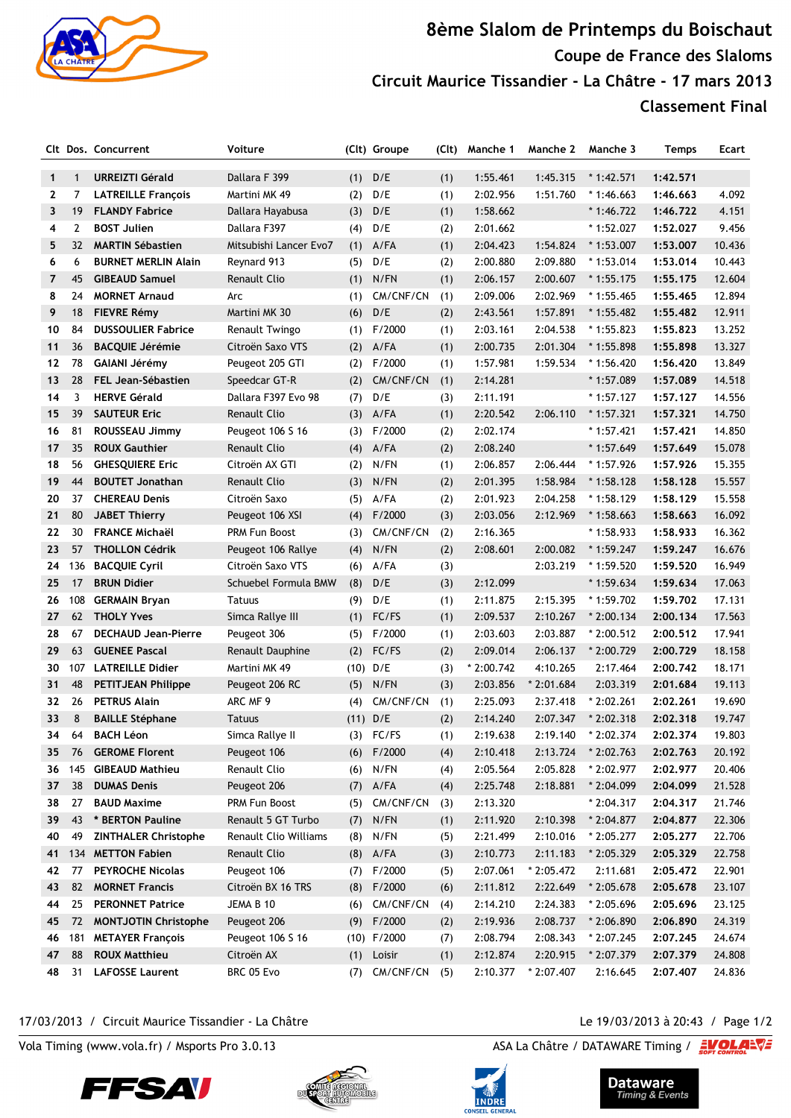

## **8ème Slalom de Printemps du Boischaut Coupe de France des Slaloms Circuit Maurice Tissandier - La Châtre - 17 mars 2013 Classement Final**

|                |              | Clt Dos. Concurrent         | Voiture                |            | (Clt) Groupe  | (Clt) | Manche 1    | Manche 2    | Manche 3    | Temps    | Ecart  |
|----------------|--------------|-----------------------------|------------------------|------------|---------------|-------|-------------|-------------|-------------|----------|--------|
| 1              | $\mathbf{1}$ | URREIZTI Gérald             | Dallara F 399          | (1)        | D/E           | (1)   | 1:55.461    | 1:45.315    | $*1:42.571$ | 1:42.571 |        |
| $\mathbf{2}$   | 7            | <b>LATREILLE François</b>   | Martini MK 49          | (2)        | D/E           | (1)   | 2:02.956    | 1:51.760    | $*1:46.663$ | 1:46.663 | 4.092  |
| 3              | 19           | <b>FLANDY Fabrice</b>       | Dallara Hayabusa       | (3)        | D/E           | (1)   | 1:58.662    |             | * 1:46.722  | 1:46.722 | 4.151  |
| 4              | 2            | <b>BOST Julien</b>          | Dallara F397           | (4)        | D/E           | (2)   | 2:01.662    |             | * 1:52.027  | 1:52.027 | 9.456  |
| 5              | 32           | <b>MARTIN Sébastien</b>     | Mitsubishi Lancer Evo7 | (1)        | $A$ /FA       | (1)   | 2:04.423    | 1:54.824    | $*1:53.007$ | 1:53.007 | 10.436 |
| 6              | 6            | <b>BURNET MERLIN Alain</b>  | Reynard 913            | (5)        | D/E           | (2)   | 2:00.880    | 2:09.880    | $*1:53.014$ | 1:53.014 | 10.443 |
| $\overline{7}$ | 45           | <b>GIBEAUD Samuel</b>       | <b>Renault Clio</b>    | (1)        | N/FN          | (1)   | 2:06.157    | 2:00.607    | $*1:55.175$ | 1:55.175 | 12.604 |
| 8              | 24           | <b>MORNET Arnaud</b>        | Arc                    | (1)        | CM/CNF/CN     | (1)   | 2:09.006    | 2:02.969    | $*1:55.465$ | 1:55.465 | 12.894 |
| 9              | 18           | <b>FIEVRE Rémy</b>          | Martini MK 30          | (6)        | D/E           | (2)   | 2:43.561    | 1:57.891    | $*1:55.482$ | 1:55.482 | 12.911 |
| 10             | 84           | <b>DUSSOULIER Fabrice</b>   | Renault Twingo         | (1)        | F/2000        | (1)   | 2:03.161    | 2:04.538    | $*1:55.823$ | 1:55.823 | 13.252 |
| 11             | 36           | <b>BACQUIE Jérémie</b>      | Citroën Saxo VTS       | (2)        | $A$ /FA       | (1)   | 2:00.735    | 2:01.304    | * 1:55.898  | 1:55.898 | 13.327 |
| 12             | 78           | <b>GAIANI Jérémy</b>        | Peugeot 205 GTI        | (2)        | F/2000        | (1)   | 1:57.981    | 1:59.534    | * 1:56.420  | 1:56.420 | 13.849 |
| 13             | 28           | FEL Jean-Sébastien          | Speedcar GT-R          | (2)        | CM/CNF/CN     | (1)   | 2:14.281    |             | * 1:57.089  | 1:57.089 | 14.518 |
| 14             | 3            | <b>HERVE Gérald</b>         | Dallara F397 Evo 98    | (7)        | D/E           | (3)   | 2:11.191    |             | $*1:57.127$ | 1:57.127 | 14.556 |
| 15             | 39           | <b>SAUTEUR Eric</b>         | <b>Renault Clio</b>    | (3)        | $A$ /FA       | (1)   | 2:20.542    | 2:06.110    | $*1:57.321$ | 1:57.321 | 14.750 |
| 16             | 81           | ROUSSEAU Jimmy              | Peugeot 106 S 16       | (3)        | F/2000        | (2)   | 2:02.174    |             | $*1:57.421$ | 1:57.421 | 14.850 |
| 17             | 35           | <b>ROUX Gauthier</b>        | <b>Renault Clio</b>    | (4)        | $A$ /FA       | (2)   | 2:08.240    |             | * 1:57.649  | 1:57.649 | 15.078 |
| 18             | 56           | <b>GHESQUIERE Eric</b>      | Citroën AX GTI         | (2)        | N/FN          | (1)   | 2:06.857    | 2:06.444    | * 1:57.926  | 1:57.926 | 15.355 |
| 19             | 44           | <b>BOUTET Jonathan</b>      | Renault Clio           | (3)        | N/FN          | (2)   | 2:01.395    | 1:58.984    | $*1:58.128$ | 1:58.128 | 15.557 |
| 20             | 37           | <b>CHEREAU Denis</b>        | Citroën Saxo           | (5)        | $A$ /FA       | (2)   | 2:01.923    | 2:04.258    | $*1:58.129$ | 1:58.129 | 15.558 |
| 21             | 80           | <b>JABET Thierry</b>        | Peugeot 106 XSI        | (4)        | F/2000        | (3)   | 2:03.056    | 2:12.969    | $*1:58.663$ | 1:58.663 | 16.092 |
| 22             | 30           | <b>FRANCE Michaël</b>       | <b>PRM Fun Boost</b>   | (3)        | CM/CNF/CN     | (2)   | 2:16.365    |             | * 1:58.933  | 1:58.933 | 16.362 |
| 23             | 57           | <b>THOLLON Cédrik</b>       | Peugeot 106 Rallye     | (4)        | N/FN          | (2)   | 2:08.601    | 2:00.082    | $*1:59.247$ | 1:59.247 | 16.676 |
| 24             | 136          | <b>BACQUIE Cyril</b>        | Citroën Saxo VTS       | (6)        | $A$ /FA       | (3)   |             | 2:03.219    | * 1:59.520  | 1:59.520 | 16.949 |
| 25             | 17           | <b>BRUN Didier</b>          | Schuebel Formula BMW   | (8)        | D/E           | (3)   | 2:12.099    |             | $*1:59.634$ | 1:59.634 | 17.063 |
| 26             | 108          | <b>GERMAIN Bryan</b>        | Tatuus                 | (9)        | D/E           | (1)   | 2:11.875    | 2:15.395    | * 1:59.702  | 1:59.702 | 17.131 |
| 27             | 62           | <b>THOLY Yves</b>           | Simca Rallye III       | (1)        | FC/FS         | (1)   | 2:09.537    | 2:10.267    | $*2:00.134$ | 2:00.134 | 17.563 |
| 28             | 67           | <b>DECHAUD Jean-Pierre</b>  | Peugeot 306            | (5)        | F/2000        | (1)   | 2:03.603    | 2:03.887    | * 2:00.512  | 2:00.512 | 17.941 |
| 29             | 63           | <b>GUENEE Pascal</b>        | Renault Dauphine       | (2)        | FC/FS         | (2)   | 2:09.014    | 2:06.137    | * 2:00.729  | 2:00.729 | 18.158 |
| 30             | 107          | <b>LATREILLE Didier</b>     | Martini MK 49          | (10)       | D/E           | (3)   | $*2:00.742$ | 4:10.265    | 2:17.464    | 2:00.742 | 18.171 |
| 31             | 48           | <b>PETITJEAN Philippe</b>   | Peugeot 206 RC         | (5)        | N/FN          | (3)   | 2:03.856    | * 2:01.684  | 2:03.319    | 2:01.684 | 19.113 |
| 32             | 26           | <b>PETRUS Alain</b>         | ARC MF 9               | (4)        | CM/CNF/CN     | (1)   | 2:25.093    | 2:37.418    | $*2:02.261$ | 2:02.261 | 19.690 |
| 33             | 8            | <b>BAILLE Stéphane</b>      | <b>Tatuus</b>          | $(11)$ D/E |               | (2)   | 2:14.240    | 2:07.347    | * 2:02.318  | 2:02.318 | 19.747 |
| 34             | 64           | <b>BACH Léon</b>            | Simca Rallye II        | (3)        | FC/FS         | (1)   | 2:19.638    | 2:19.140    | 2:02.374    | 2:02.374 | 19.803 |
| 35             | 76           | <b>GEROME Florent</b>       | Peugeot 106            | (6)        | F/2000        | (4)   | 2:10.418    | 2:13.724    | $*2:02.763$ | 2:02.763 | 20.192 |
| 36             | 145          | <b>GIBEAUD Mathieu</b>      | Renault Clio           | (6)        | N/FN          | (4)   | 2:05.564    | 2:05.828    | * 2:02.977  | 2:02.977 | 20.406 |
| 37             | 38           | <b>DUMAS Denis</b>          | Peugeot 206            | (7)        | A/FA          | (4)   | 2:25.748    | 2:18.881    | * 2:04.099  | 2:04.099 | 21.528 |
| 38             | 27           | <b>BAUD Maxime</b>          | PRM Fun Boost          | (5)        | CM/CNF/CN     | (3)   | 2:13.320    |             | $*2:04.317$ | 2:04.317 | 21.746 |
| 39             | 43           | * BERTON Pauline            | Renault 5 GT Turbo     | (7)        | N/FN          | (1)   | 2:11.920    | 2:10.398    | $*2:04.877$ | 2:04.877 | 22.306 |
| 40             | 49           | <b>ZINTHALER Christophe</b> | Renault Clio Williams  | (8)        | N/FN          | (5)   | 2:21.499    | 2:10.016    | * 2:05.277  | 2:05.277 | 22.706 |
| 41             | 134          | <b>METTON Fabien</b>        | Renault Clio           | (8)        | A/FA          | (3)   | 2:10.773    | 2:11.183    | * 2:05.329  | 2:05.329 | 22.758 |
| 42             | 77           | <b>PEYROCHE Nicolas</b>     | Peugeot 106            | (7)        | F/2000        | (5)   | 2:07.061    | * 2:05.472  | 2:11.681    | 2:05.472 | 22.901 |
| 43             | 82           | <b>MORNET Francis</b>       | Citroën BX 16 TRS      | (8)        | F/2000        | (6)   | 2:11.812    | 2:22.649    | $*2:05.678$ | 2:05.678 | 23.107 |
| 44             | 25           | <b>PERONNET Patrice</b>     | JEMA B 10              | (6)        | CM/CNF/CN     | (4)   | 2:14.210    | 2:24.383    | $*2:05.696$ | 2:05.696 | 23.125 |
| 45             | 72           | <b>MONTJOTIN Christophe</b> | Peugeot 206            | (9)        | F/2000        | (2)   | 2:19.936    | 2:08.737    | $*2:06.890$ | 2:06.890 | 24.319 |
| 46             | 181          | <b>METAYER François</b>     | Peugeot 106 S 16       |            | $(10)$ F/2000 | (7)   | 2:08.794    | 2:08.343    | * 2:07.245  | 2:07.245 | 24.674 |
| 47             | 88           | <b>ROUX Matthieu</b>        | Citroën AX             | (1)        | Loisir        | (1)   | 2:12.874    | 2:20.915    | $*2:07.379$ | 2:07.379 | 24.808 |
| 48             | 31           | <b>LAFOSSE Laurent</b>      | BRC 05 Evo             | (7)        | CM/CNF/CN     | (5)   | 2:10.377    | $*2:07.407$ | 2:16.645    | 2:07.407 | 24.836 |

## 17/03/2013 / Circuit Maurice Tissandier - La Châtre Le 19/03/2013 à 20:43 / Page 1/2

Vola Timing (www.vola.fr) / Msports Pro 3.0.13 ASA La Châtre / DATAWARE Timing / EVOLANT







Dataware<br>Timing & Events